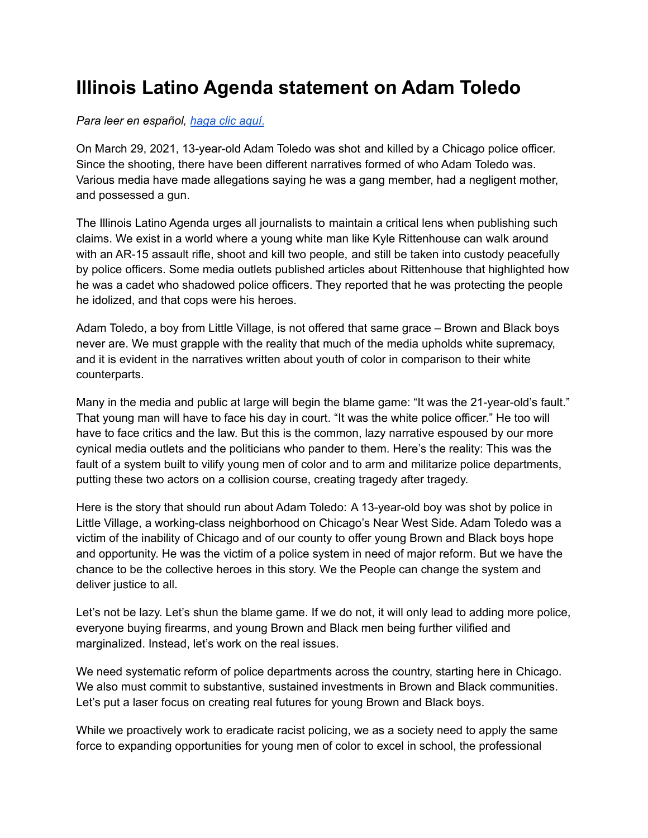## **Illinois Latino Agenda statement on Adam Toledo**

## *Para leer en español, haga clic [aquí.](https://www.latinopolicyforum.org/news/press-releases/document/Declaracin-de-la-Illinois-Latino-Agenda-sobre-Adam-Toledo-1-1.pdf)*

On March 29, 2021, 13-year-old Adam Toledo was shot and killed by a Chicago police officer. Since the shooting, there have been different narratives formed of who Adam Toledo was. Various media have made allegations saying he was a gang member, had a negligent mother, and possessed a gun.

The Illinois Latino Agenda urges all journalists to maintain a critical lens when publishing such claims. We exist in a world where a young white man like Kyle Rittenhouse can walk around with an AR-15 assault rifle, shoot and kill two people, and still be taken into custody peacefully by police officers. Some media outlets published articles about Rittenhouse that highlighted how he was a cadet who shadowed police officers. They reported that he was protecting the people he idolized, and that cops were his heroes.

Adam Toledo, a boy from Little Village, is not offered that same grace – Brown and Black boys never are. We must grapple with the reality that much of the media upholds white supremacy, and it is evident in the narratives written about youth of color in comparison to their white counterparts.

Many in the media and public at large will begin the blame game: "It was the 21-year-old's fault." That young man will have to face his day in court. "It was the white police officer." He too will have to face critics and the law. But this is the common, lazy narrative espoused by our more cynical media outlets and the politicians who pander to them. Here's the reality: This was the fault of a system built to vilify young men of color and to arm and militarize police departments, putting these two actors on a collision course, creating tragedy after tragedy.

Here is the story that should run about Adam Toledo: A 13-year-old boy was shot by police in Little Village, a working-class neighborhood on Chicago's Near West Side. Adam Toledo was a victim of the inability of Chicago and of our county to offer young Brown and Black boys hope and opportunity. He was the victim of a police system in need of major reform. But we have the chance to be the collective heroes in this story. We the People can change the system and deliver justice to all.

Let's not be lazy. Let's shun the blame game. If we do not, it will only lead to adding more police, everyone buying firearms, and young Brown and Black men being further vilified and marginalized. Instead, let's work on the real issues.

We need systematic reform of police departments across the country, starting here in Chicago. We also must commit to substantive, sustained investments in Brown and Black communities. Let's put a laser focus on creating real futures for young Brown and Black boys.

While we proactively work to eradicate racist policing, we as a society need to apply the same force to expanding opportunities for young men of color to excel in school, the professional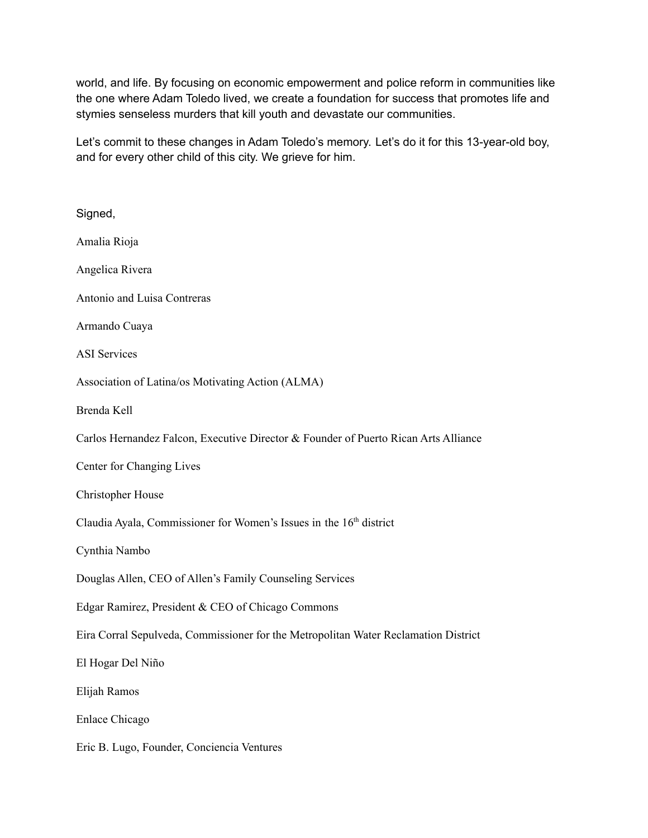world, and life. By focusing on economic empowerment and police reform in communities like the one where Adam Toledo lived, we create a foundation for success that promotes life and stymies senseless murders that kill youth and devastate our communities.

Let's commit to these changes in Adam Toledo's memory. Let's do it for this 13-year-old boy, and for every other child of this city. We grieve for him.

| Signed,                                                                             |
|-------------------------------------------------------------------------------------|
| Amalia Rioja                                                                        |
| Angelica Rivera                                                                     |
| Antonio and Luisa Contreras                                                         |
| Armando Cuaya                                                                       |
| <b>ASI</b> Services                                                                 |
| Association of Latina/os Motivating Action (ALMA)                                   |
| Brenda Kell                                                                         |
| Carlos Hernandez Falcon, Executive Director & Founder of Puerto Rican Arts Alliance |
| Center for Changing Lives                                                           |
| <b>Christopher House</b>                                                            |
| Claudia Ayala, Commissioner for Women's Issues in the 16 <sup>th</sup> district     |
| Cynthia Nambo                                                                       |
| Douglas Allen, CEO of Allen's Family Counseling Services                            |
| Edgar Ramirez, President & CEO of Chicago Commons                                   |
| Eira Corral Sepulveda, Commissioner for the Metropolitan Water Reclamation District |
| El Hogar Del Niño                                                                   |
| Elijah Ramos                                                                        |
| <b>Enlace Chicago</b>                                                               |
| Eric B. Lugo, Founder, Conciencia Ventures                                          |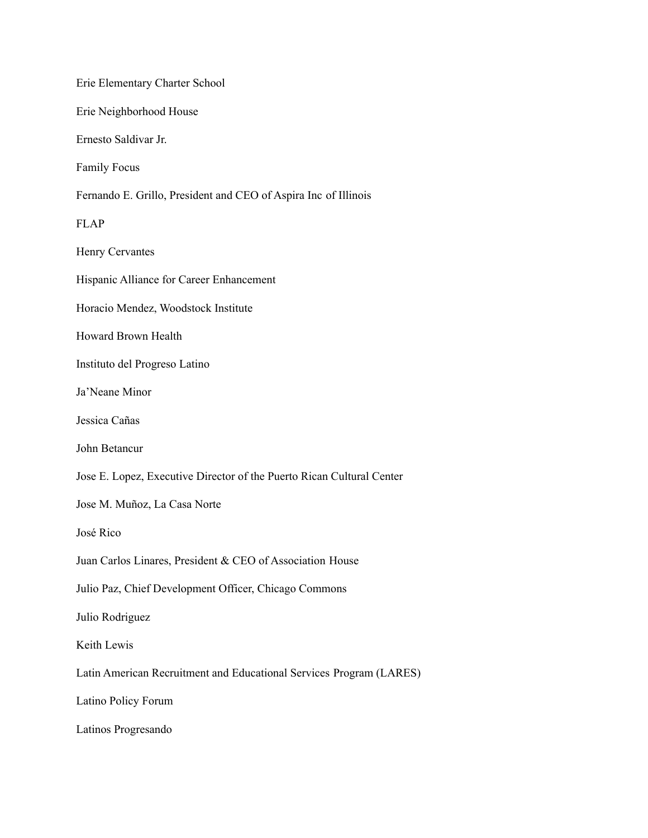Erie Elementary Charter School Erie Neighborhood House Ernesto Saldivar Jr. Family Focus Fernando E. Grillo, President and CEO of Aspira Inc of Illinois FLAP Henry Cervantes Hispanic Alliance for Career Enhancement Horacio Mendez, Woodstock Institute Howard Brown Health Instituto del Progreso Latino Ja'Neane Minor Jessica Cañas John Betancur Jose E. Lopez, Executive Director of the Puerto Rican Cultural Center Jose M. Muñoz, La Casa Norte José Rico Juan Carlos Linares, President & CEO of Association House Julio Paz, Chief Development Officer, Chicago Commons Julio Rodriguez Keith Lewis Latin American Recruitment and Educational Services Program (LARES) Latino Policy Forum Latinos Progresando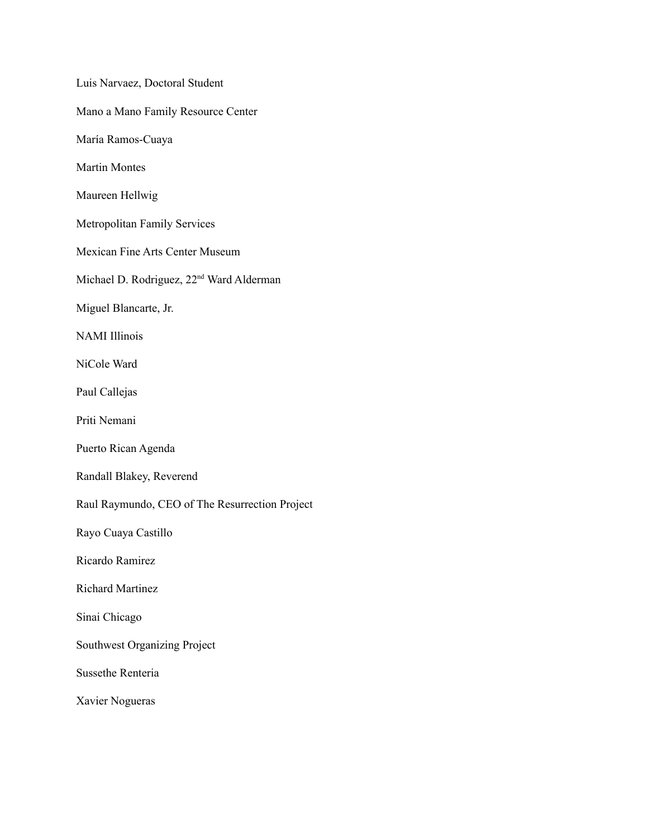| Luis Narvaez, Doctoral Student                       |
|------------------------------------------------------|
| Mano a Mano Family Resource Center                   |
| María Ramos-Cuaya                                    |
| <b>Martin Montes</b>                                 |
| Maureen Hellwig                                      |
| <b>Metropolitan Family Services</b>                  |
| <b>Mexican Fine Arts Center Museum</b>               |
| Michael D. Rodriguez, 22 <sup>nd</sup> Ward Alderman |
| Miguel Blancarte, Jr.                                |
| <b>NAMI</b> Illinois                                 |
| NiCole Ward                                          |
| Paul Callejas                                        |
| Priti Nemani                                         |
| Puerto Rican Agenda                                  |
| Randall Blakey, Reverend                             |
| Raul Raymundo, CEO of The Resurrection Project       |
| Rayo Cuaya Castillo                                  |
| Ricardo Ramirez                                      |
| <b>Richard Martinez</b>                              |
| Sinai Chicago                                        |
| <b>Southwest Organizing Project</b>                  |
| <b>Sussethe Renteria</b>                             |
| Xavier Nogueras                                      |